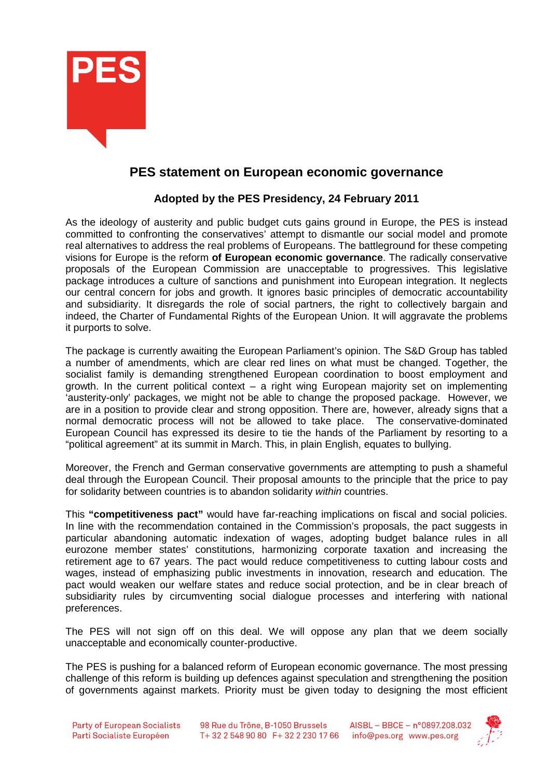

## **PES statement on European economic governance**

## **Adopted by the PES Presidency, 24 February 2011**

As the ideology of austerity and public budget cuts gains ground in Europe, the PES is instead committed to confronting the conservatives' attempt to dismantle our social model and promote real alternatives to address the real problems of Europeans. The battleground for these competing visions for Europe is the reform **of European economic governance**. The radically conservative proposals of the European Commission are unacceptable to progressives. This legislative package introduces a culture of sanctions and punishment into European integration. It neglects our central concern for jobs and growth. It ignores basic principles of democratic accountability and subsidiarity. It disregards the role of social partners, the right to collectively bargain and indeed, the Charter of Fundamental Rights of the European Union. It will aggravate the problems it purports to solve.

The package is currently awaiting the European Parliament's opinion. The S&D Group has tabled a number of amendments, which are clear red lines on what must be changed. Together, the socialist family is demanding strengthened European coordination to boost employment and growth. In the current political context  $-$  a right wing European majority set on implementing 'austerity-only' packages, we might not be able to change the proposed package. However, we are in a position to provide clear and strong opposition. There are, however, already signs that a normal democratic process will not be allowed to take place. The conservative-dominated European Council has expressed its desire to tie the hands of the Parliament by resorting to a "political agreement" at its summit in March. This, in plain English, equates to bullying.

Moreover, the French and German conservative governments are attempting to push a shameful deal through the European Council. Their proposal amounts to the principle that the price to pay for solidarity between countries is to abandon solidarity within countries.

This **"competitiveness pact"** would have far-reaching implications on fiscal and social policies. In line with the recommendation contained in the Commission's proposals, the pact suggests in particular abandoning automatic indexation of wages, adopting budget balance rules in all eurozone member states' constitutions, harmonizing corporate taxation and increasing the retirement age to 67 years. The pact would reduce competitiveness to cutting labour costs and wages, instead of emphasizing public investments in innovation, research and education. The pact would weaken our welfare states and reduce social protection, and be in clear breach of subsidiarity rules by circumventing social dialogue processes and interfering with national preferences.

The PES will not sign off on this deal. We will oppose any plan that we deem socially unacceptable and economically counter-productive.

The PES is pushing for a balanced reform of European economic governance. The most pressing challenge of this reform is building up defences against speculation and strengthening the position of governments against markets. Priority must be given today to designing the most efficient